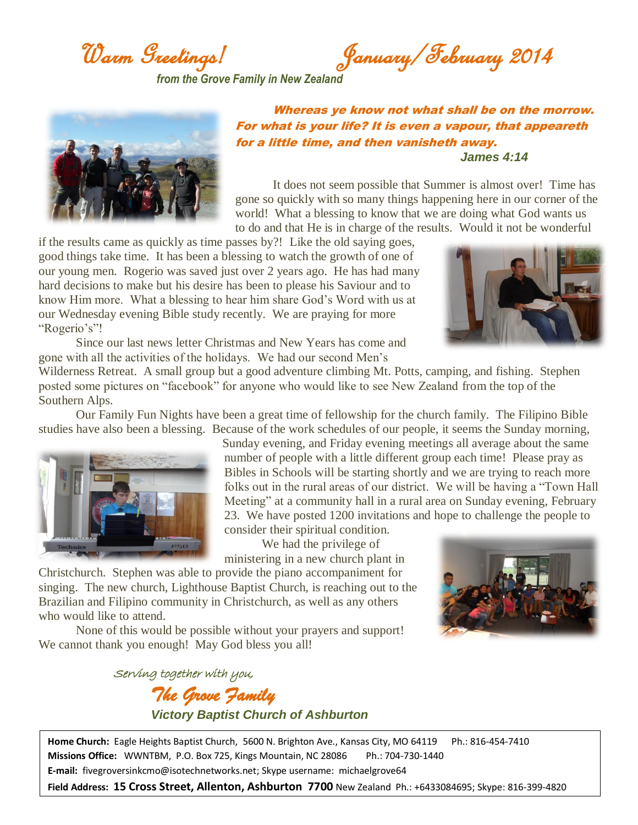Warm Greetings! January/February 2014

*from the Grove Family in New Zealand*



Whereas ye know not what shall be on the morrow. For what is your life? It is even a vapour, that appeareth for a little time, and then vanisheth away. *James 4:14*

It does not seem possible that Summer is almost over! Time has gone so quickly with so many things happening here in our corner of the world! What a blessing to know that we are doing what God wants us to do and that He is in charge of the results. Would it not be wonderful

if the results came as quickly as time passes by?! Like the old saying goes, good things take time. It has been a blessing to watch the growth of one of our young men. Rogerio was saved just over 2 years ago. He has had many hard decisions to make but his desire has been to please his Saviour and to know Him more. What a blessing to hear him share God's Word with us at our Wednesday evening Bible study recently. We are praying for more "Rogerio's"!



Since our last news letter Christmas and New Years has come and gone with all the activities of the holidays. We had our second Men's

Wilderness Retreat. A small group but a good adventure climbing Mt. Potts, camping, and fishing. Stephen posted some pictures on "facebook" for anyone who would like to see New Zealand from the top of the Southern Alps.

Our Family Fun Nights have been a great time of fellowship for the church family. The Filipino Bible studies have also been a blessing. Because of the work schedules of our people, it seems the Sunday morning,



Sunday evening, and Friday evening meetings all average about the same number of people with a little different group each time! Please pray as Bibles in Schools will be starting shortly and we are trying to reach more folks out in the rural areas of our district. We will be having a "Town Hall Meeting" at a community hall in a rural area on Sunday evening, February 23. We have posted 1200 invitations and hope to challenge the people to consider their spiritual condition.

We had the privilege of ministering in a new church plant in

Christchurch. Stephen was able to provide the piano accompaniment for singing. The new church, Lighthouse Baptist Church, is reaching out to the Brazilian and Filipino community in Christchurch, as well as any others who would like to attend.

None of this would be possible without your prayers and support! We cannot thank you enough! May God bless you all!

Serving together with you, *The Grove Family Victory Baptist Church of Ashburton*

**Home Church:** Eagle Heights Baptist Church, 5600 N. Brighton Ave., Kansas City, MO 64119 Ph.: 816-454-7410 **Missions Office:** WWNTBM, P.O. Box 725, Kings Mountain, NC 28086 Ph.: 704-730-1440 **E-mail:** fivegroversinkcmo@isotechnetworks.net; Skype username: michaelgrove64

**Field Address: 15 Cross Street, Allenton, Ashburton 7700** New Zealand Ph.: +6433084695; Skype: 816-399-4820